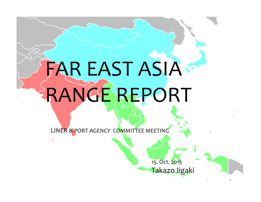### Country 2011 2012 2013 2014 2015  $J + A K + A S I A S I A S I$  $\sim$  7.70% 7.70% 7.70% 7.70% 7.70% 7.70% 7.70% 7.70% 7.70% 7.70% 7.70% 7.70% 7.70% 7.70% 7.70% 7.70% 7.70% 7.70% 7.70% 7.70% 7.70% 7.70% 7.70% 7.70% 7.70% 7.70% 7.70% 7.70% 7.70% 7.70% 7.70% 7.70% 7.70% 7.70% 7.70% 7.70% India 6.70% 4.50% 4.90% 5.50% 6.00% Korea 3.70% 2.00% 2.80% 3.70% 3.80% Indonesia 6.50% 6.30% 5.80% 5.70% 6.00% FAR EAST ASIA RANGE REPORT

Economy growth in each countries (According to Asia Development Bank)

 $A \times B$  as  $A \times B$  in each countries  $A \times B$ 

Thailand 0.10% 2.90% 2.90% 2.90% 2.90% 2.90% 2.90% 2.90% 2.90% 2.90% 2.90% 2.90% 2.90% 2.90% 2.90% 2.90% 2.90%

Hongkong 4.80% 1.50% 2.90% 3.50% 3.60%

Malaysia 5.10% 5.60% 4.70% 5.10% 5.00%

Philippine 3.60% 6.80% 7.20% 6.40% 6.70%

Vietnam 5.90% 5.20% 5.20% 5.20% 5.20% 5.20% 5.20% 5.20% 5.20% 5.20% 5.20% 5.20% 5.20% 5.20% 5.20% 5.20% 5.20% 5

LINER & PORT AGENCY COMMITTEE MEETING AND LINER & PORT AGENCY COMMITTEE MEETING

Taiwan 4.20% 2.10% 2.10% 2.10% 2.10% 2.10% 2.10% 2.10% 2.10% 2.10% 2.10% 2.10% 2.10% 2.10% 2.10% 2.10% 2.10% 2  $\mathsf{C}^{(1)}$   $\mathsf{C}^{(2)}$   $\mathsf{C}^{(3)}$   $\mathsf{C}^{(4)}$   $\mathsf{C}^{(5)}$   $\mathsf{C}^{(1)}$   $\mathsf{C}^{(1)}$   $\mathsf{C}^{(1)}$   $\mathsf{C}^{(1)}$   $\mathsf{C}^{(1)}$   $\mathsf{C}^{(1)}$   $\mathsf{C}^{(1)}$   $\mathsf{C}^{(1)}$   $\mathsf{C}^{(1)}$   $\mathsf{C}^{(1)}$   $\mathsf{C}^{(1)}$   $\mathsf{C}^{(1)}$  <u>Cambodia 7.10% 7.10% 7.10% 7.10% 7.10% 7.10% 7.10% 7.10% 7.10% 7.10% 7.10% 7.10% 7.10% 7.10% 7.10% 7.10% 7.10% </u> 15. Oct. 2015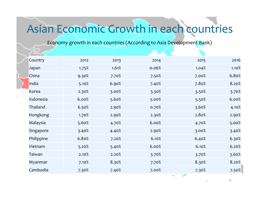## Asian Economic Growth in each countries

Economy growth in each countries (According to Asia Development Bank)

|  | Country    | 2012  | 2013  | 2014     | 2015  | 2016  |
|--|------------|-------|-------|----------|-------|-------|
|  | Japan      | 1.75% | 1.61% | $-0.06%$ | 1.04% | 1.10% |
|  | China      | 9.30% | 7.70% | 7.50%    | 7.00% | 6.80% |
|  | India      | 5.10% | 6.90% | 7.40%    | 7.80% | 8.20% |
|  | Korea      | 2.30% | 3.00% | 3.30%    | 3.50% | 3.70% |
|  | Indonesia  | 6.00% | 5.60% | 5.00%    | 5.50% | 6.00% |
|  | Thailand   | 6.50% | 2.90% | 0.70%    | 3.60% | 4.10% |
|  | Hongkong   | 1.70% | 2.90% | 2.30%    | 2.80% | 2.90% |
|  | Malaysia   | 5.60% | 4.70% | 6.00%    | 4.70% | 5.00% |
|  | Singapore  | 3.40% | 4.40% | 2.90%    | 3.00% | 3.40% |
|  | Philippine | 6.80% | 7.20% | 6.10%    | 6.40% | 6.30% |
|  | Vietnam    | 5.20% | 5.40% | 6.00%    | 6.10% | 6.20% |
|  | Taiwan     | 2.10% | 2.20% | 3.70%    | 3.70% | 3.60% |
|  | Myanmar    | 7.10% | 8.30% | 7.70%    | 8.30% | 8.20% |
|  | Cambodia   | 7.30% | 7.40% | 7.00%    | 7.30% | 7.50% |
|  |            |       |       |          |       |       |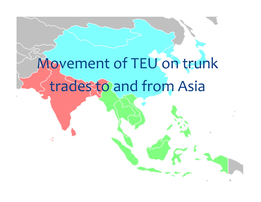# Movement of TEU on trunk trades to and from Asia

εž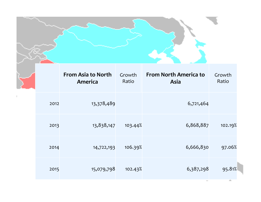|      | <b>From Asia to North</b><br>America | Growth<br>Ratio | <b>From North America to</b><br>Asia | Growth<br>Ratio |
|------|--------------------------------------|-----------------|--------------------------------------|-----------------|
| 2012 | 13,378,489                           |                 | 6,721,464                            |                 |
| 2013 | 13,838,147                           | 103.44%         | 6,868,887                            | 102.19%         |
| 2014 | 14,722,193                           | 106.39%         | 6,666,830                            | 97.06%          |
| 2015 | 15,079,798                           | 102.43%         | 6,387,298                            | 95.81%<br>ДL,   |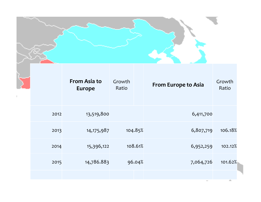|      | <b>From Asia to</b><br><b>Europe</b> | Growth<br>Ratio |         | From Europe to Asia | Growth<br>Ratio |
|------|--------------------------------------|-----------------|---------|---------------------|-----------------|
| 2012 | 13,519,800                           |                 |         | 6,411,700           |                 |
| 2013 | 14, 175, 987                         |                 | 104.85% | 6,807,719           | 106.18%         |
| 2014 | 15,396,122                           |                 | 108.61% | 6,952,259           | 102.12%         |
| 2015 | 14,786.883                           |                 | 96.04%  | 7,064,726           | 101.62%         |
|      |                                      |                 |         |                     | Æ,              |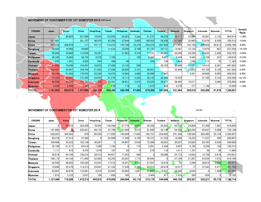#### MOVEMENT OF CONTAINER FOR 1ST SEMESTER 2015 (IADA Report)

| <b>ORIGINS</b>     | Japan     | Korea   | China    | <b>Hong Kong</b> | Taiwan  | <b>Philippines</b> | Cambodia        | <b>Vietnam</b> | <b>Thailand</b> | <b>Malaysia</b> | Singapore | Indonesia | Myanmar   | <b>TOTAL</b> | Growth<br>Ratio |
|--------------------|-----------|---------|----------|------------------|---------|--------------------|-----------------|----------------|-----------------|-----------------|-----------|-----------|-----------|--------------|-----------------|
| ∣Japan             |           | 80.825  | 321.098  | 74.943           | 123.954 | 25.023             | 3.289           | 51,272         | 96.235          | 48,111          | 24.864    | 52.867    | 2.133     | 904.614      | $-1.46%$        |
| Korea              | 107,581   |         | 201,707  | 46.474           | 42,354  | 37,686             | 3,065           | 100,555        | 38,936          | 47,565          | 22,863    | 53,979    | 6,550     | 709.315      | $-4.04%$        |
| China              | 507,314   | 299.878 | 111      | 63,113           | 115,315 | 184.786            | 19,379          | 243,374        | 287,655         | 277,434         | 162,755   | 286,059   | 49,613    | 2.496.786    | 4.69%           |
| Hongkong           | 50.423    | 19.560  | 28,692   |                  | 17.410  | 10,295             | 3,749           | 41,131         | 24,731          | 12.661          | 15.125    | 12,670    | 807       | 237,254      | $-10.74%$       |
| Taiwan             | 98,684    | 30,666  | 112,848  | 53,351           |         | 21,963             | 4,379           | 77,131         | 40,021          | 29,296          | 23,250    | 26,642    | 2,492     | 520,723      | $-4.80%$        |
| <b>Philippines</b> | 36,320    | 18,892  | 48,742   | 8.376            | 7,750   |                    | 120             | 6,385          | 8,867           | 5,544           | 4,424     | 4,169     | 227       | 149,816      | $-0.33%$        |
| Cambodia           | 1,255     | 1,041   | 3.922    | 994              | 468     | 98                 |                 | 254            | 156             | 1.464           | 1,548     | 113       | <b>70</b> | 11.383       | $-5.09%$        |
| Vietnam            | 61,664    | 76.409  | 154,097  | 34,653           | 47,669  | 14,125             | 589             |                | 28,722          | 30.488          | 12,691    | 18,415    | 8,361     | 487,883      | 3.62%           |
| Thailand           | 104,457   | 45.907  | 184.794  | 51.842           | 37.859  | 28,030             | 2.191           | 66,997         |                 | 32,948          | 23,653    | 43.759    | 9.126     | 631.563      | 2.49%           |
| <b>Malaysia</b>    | 44,340    | 41.363  | 170,552  | 25,382           | 18,470  | 19,865             | 3,689           | 36,996         | 17,947          |                 | 3,251     | 40.668    | 6.002     | 428,525      | 8.30%           |
| <b>Singapore</b>   | 18,433    | 22,455  | 131,265  | 24,525           | 21,276  | 18,113             | 5,305           | 29,135         | 22,859          | 15,035          |           | 41.782    | 4,143     | 354,326      | 10.12%          |
| Indonesia          | 69.058    | 43.330  | 115,787  | 1,316            | 23,341  | 28.631             | 2.072           | 24,226         | 20.271          | 28.462          | 10,217    |           | 2.092     | 378.803      | 8.89%           |
| Myanmar            | 2.425     | 2,889   | 3,393    | 153              | 476     | 174                | 53 <sub>1</sub> | 1.910          | 658             | 2.276           | 377       | 1.146     |           | 15.930       | $-1.39%$        |
| <b>TOTAL</b>       | 1.101.954 | 683.215 | .477.008 | 395.122          | 456,342 | 388.789            | 47.880          | 679.366        | 587.058         | 531 284         | 305.018   | 582.269   | 91.616    | 7.326,921    |                 |

### MOVEMENT OF CONTAINER FOR 1ST SEMESTER 2014 Unit: The Unit: The Unit: Tele Unit: Tele Unit: Tel

| <b>ORIGINS</b> | Japan     | Korea   | China    | <b>Hong Kong</b> | Taiwan  | <b>Philippines</b> | Cambodia   | Vietnam | Thailand | Malaysia    | Singapore       | Indonesia | Myanmar | TOTAL     |
|----------------|-----------|---------|----------|------------------|---------|--------------------|------------|---------|----------|-------------|-----------------|-----------|---------|-----------|
| Japan          | ΩL        | 83,878  | 332.509  | 78.564           | 132,590 | 27.776             | 3.066      | 42,358  | 93,852   | 45,319      | 24.804          | 51.398    | 1.891   | 918,005   |
| Korea          | 101.983   |         | 232.031  | 46.123           | 47.789  | 31.209             | 4,210      | 81.895  | 44.130   | 54,329      | 24,254          | 65.627    | 5.568   | 739,148   |
| China          | 530,287   | 302,563 | 878      | 65,550           | 117,292 | 195,059            | 17,043     | 192,151 | 254,652  | 241,339     | 149,524         | 283,485   | 35,134  | 2,384,957 |
| Hongkong       | 60,310    | 27,512  | 37,348   |                  | 22,900  | 11.248             | 4.199      | 40.727  | 21.232   | 12,066      | 16.233          | 11,537    | 495     | 265,807   |
| Taiwan         | 104.906   | 34.223  | 122.158  | 56.267           |         | 24.897             | 5,530      | 72.306  | 42.041   | 30.037      | 23.824          | 28.763    | 2.030   | 546.982   |
| Philippines    | 35,109    | 21,517  | 50,516   | 7,288            | 7,182   |                    | 179        | 5,991   | 5,342    | 5,997       | 4,780           | 6,258     | 156     | 150,315   |
| Cambodia       | 1.111     | 910     | 4,376    | 1.676            | 197     | 63                 |            | 276     | 118      | 1,411       | 1.761           | 58        | 38      | 11,995    |
| Vietnam        | 58,614    | 84,156  | 138,218  | 38,473           | 44.651  | 17.243             | <b>580</b> |         | 28,096   | 25,772      | 13.603          | 15,739    | 5.676   | 470,821   |
| Thailand       | 108,115   | 44,120  | 171.002  | 52,983           | 42,255  | 25,891             | .772       | 59,944  |          | 27,104      | 21,287          | 54,254    | 7,472   | 616,199   |
| Malaysia       | 42,545    | 46.852  | 155,245  | 23,847           | 17.512  | 18,251             | 4,323      | 27.557  | 16,019   | 12          | 3,296           | 36,915    | 3,303   | 395,677   |
| Singapore      | 19,684    | 25,276  | 114,313  | 23,641           | 21.182  | 17.235             | 2,352      | 24,913  | 20,019   | 13,317      | 17 <sub>1</sub> | 37.343    | 2,471   | 321,763   |
| Indonesia      | 63,007    | 42,079  | 110,581  | 8,419            | 23,953  | 25,962             | 1,847      | 21,652  | 15,031   | 24,040      | 9,834           |           | 1,484   | 347,889   |
| Myanmar        | 1,813     | 3.122   | 3,037    | 184              | 1.456   | 160                |            | 3.404   | 417      | 1.416<br>-- | 304             | 834       | 0       | 16,156    |
| <b>TOTAL</b>   | 1.127.484 | 716,208 | ,472,212 | 403,015          | 478,959 | 394.994            | 45.110     | 573.174 | 540.949  | 482.159     | 293.521         | 592.211   | 65.718  | 7.185.714 |